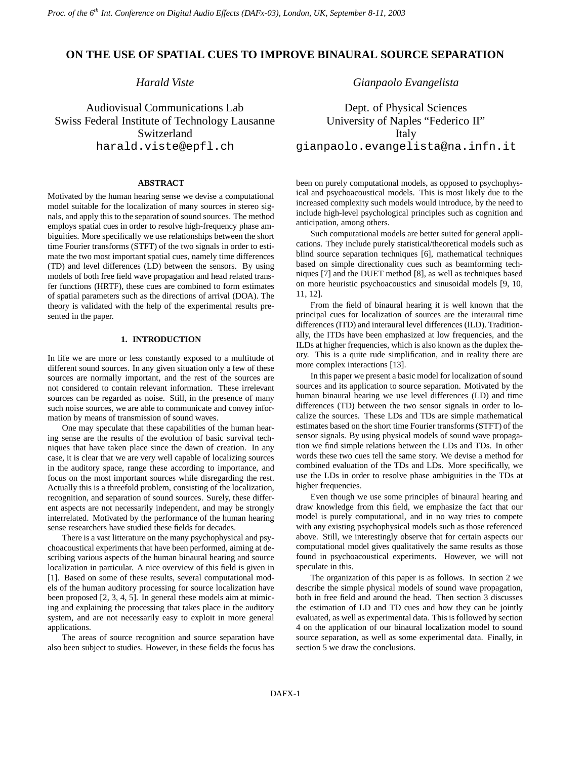# **ON THE USE OF SPATIAL CUES TO IMPROVE BINAURAL SOURCE SEPARATION**

*Harald Viste*

Audiovisual Communications Lab Swiss Federal Institute of Technology Lausanne Switzerland harald.viste@epfl.ch

## **ABSTRACT**

Motivated by the human hearing sense we devise a computational model suitable for the localization of many sources in stereo signals, and apply this to the separation of sound sources. The method employs spatial cues in order to resolve high-frequency phase ambiguities. More specifically we use relationships between the short time Fourier transforms (STFT) of the two signals in order to estimate the two most important spatial cues, namely time differences (TD) and level differences (LD) between the sensors. By using models of both free field wave propagation and head related transfer functions (HRTF), these cues are combined to form estimates of spatial parameters such as the directions of arrival (DOA). The theory is validated with the help of the experimental results presented in the paper.

## **1. INTRODUCTION**

In life we are more or less constantly exposed to a multitude of different sound sources. In any given situation only a few of these sources are normally important, and the rest of the sources are not considered to contain relevant information. These irrelevant sources can be regarded as noise. Still, in the presence of many such noise sources, we are able to communicate and convey information by means of transmission of sound waves.

One may speculate that these capabilities of the human hearing sense are the results of the evolution of basic survival techniques that have taken place since the dawn of creation. In any case, it is clear that we are very well capable of localizing sources in the auditory space, range these according to importance, and focus on the most important sources while disregarding the rest. Actually this is a threefold problem, consisting of the localization, recognition, and separation of sound sources. Surely, these different aspects are not necessarily independent, and may be strongly interrelated. Motivated by the performance of the human hearing sense researchers have studied these fields for decades.

There is a vast litterature on the many psychophysical and psychoacoustical experiments that have been performed, aiming at describing various aspects of the human binaural hearing and source localization in particular. A nice overview of this field is given in [1]. Based on some of these results, several computational models of the human auditory processing for source localization have been proposed [2, 3, 4, 5]. In general these models aim at mimicing and explaining the processing that takes place in the auditory system, and are not necessarily easy to exploit in more general applications.

The areas of source recognition and source separation have also been subject to studies. However, in these fields the focus has *Gianpaolo Evangelista*

Dept. of Physical Sciences University of Naples "Federico II" Italy gianpaolo.evangelista@na.infn.it

been on purely computational models, as opposed to psychophysical and psychoacoustical models. This is most likely due to the increased complexity such models would introduce, by the need to include high-level psychological principles such as cognition and anticipation, among others.

Such computational models are better suited for general applications. They include purely statistical/theoretical models such as blind source separation techniques [6], mathematical techniques based on simple directionality cues such as beamforming techniques [7] and the DUET method [8], as well as techniques based on more heuristic psychoacoustics and sinusoidal models [9, 10, 11, 12].

From the field of binaural hearing it is well known that the principal cues for localization of sources are the interaural time differences (ITD) and interaural level differences (ILD). Traditionally, the ITDs have been emphasized at low frequencies, and the ILDs at higher frequencies, which is also known as the duplex theory. This is a quite rude simplification, and in reality there are more complex interactions [13].

In this paper we present a basic model for localization of sound sources and its application to source separation. Motivated by the human binaural hearing we use level differences (LD) and time differences (TD) between the two sensor signals in order to localize the sources. These LDs and TDs are simple mathematical estimates based on the short time Fourier transforms (STFT) of the sensor signals. By using physical models of sound wave propagation we find simple relations between the LDs and TDs. In other words these two cues tell the same story. We devise a method for combined evaluation of the TDs and LDs. More specifically, we use the LDs in order to resolve phase ambiguities in the TDs at higher frequencies.

Even though we use some principles of binaural hearing and draw knowledge from this field, we emphasize the fact that our model is purely computational, and in no way tries to compete with any existing psychophysical models such as those referenced above. Still, we interestingly observe that for certain aspects our computational model gives qualitatively the same results as those found in psychoacoustical experiments. However, we will not speculate in this.

The organization of this paper is as follows. In section 2 we describe the simple physical models of sound wave propagation, both in free field and around the head. Then section 3 discusses the estimation of LD and TD cues and how they can be jointly evaluated, as well as experimental data. Thisis followed by section 4 on the application of our binaural localization model to sound source separation, as well as some experimental data. Finally, in section 5 we draw the conclusions.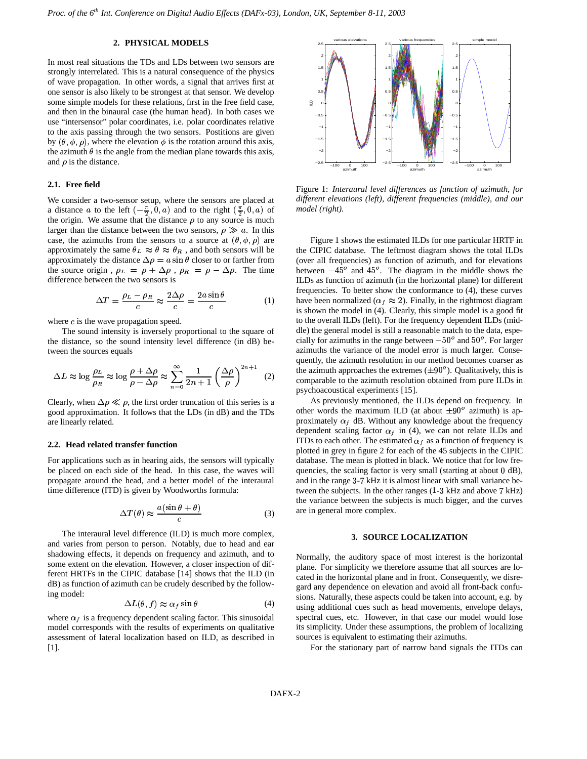## **2. PHYSICAL MODELS**

In most real situations the TDs and LDs between two sensors are strongly interrelated. This is a natural consequence of the physics of wave propagation. In other words, a signal that arrives first at one sensor is also likely to be strongest at that sensor. We develop some simple models for these relations, first in the free field case, and then in the binaural case (the human head). In both cases we use "intersensor" polar coordinates, i.e. polar coordinates relative to the axis passing through the two sensors. Postitions are given by  $(\theta, \phi, \rho)$ , where the elevation  $\phi$  is the rotation around this axis, the azimuth  $\theta$  is the angle from the median plane towards this axis, and  $\rho$  is the distance.

### **2.1. Free field**

We consider a two-sensor setup, where the sensors are placed at a distance a to the left  $\left(-\frac{\pi}{2},0,a\right)$  and to the right  $\left(\frac{\pi}{2},0,a\right)$  of the origin. We assume that the distance  $\rho$  to any source is much larger than the distance between the two sensors,  $\rho \gg a$ . In this case, the azimuths from the sensors to a source at  $(\theta, \phi, \rho)$  are approximately the same  $\theta_L \approx \theta \approx \theta_R$ , and both sensors will be approximately the distance  $\Delta \rho = a \sin \theta$  closer to or farther from the source origin,  $\rho_L = \rho + \Delta \rho$ ,  $\rho_R = \rho - \Delta \rho$ . The time difference between the two sensors is

$$
\Delta T = \frac{\rho_L - \rho_R}{c} \approx \frac{2\Delta\rho}{c} = \frac{2a\sin\theta}{c} \tag{1}
$$

where  $c$  is the wave propagation speed.

The sound intensity is inversely proportional to the square of the distance, so the sound intensity level difference (in dB) between the sources equals

$$
\Delta L \approx \log \frac{\rho_L}{\rho_R} \approx \log \frac{\rho + \Delta \rho}{\rho - \Delta \rho} \approx \sum_{n=0}^{\infty} \frac{1}{2n+1} \left(\frac{\Delta \rho}{\rho}\right)^{2n+1} \quad (2)
$$

Clearly, when  $\Delta \rho \ll \rho$ , the first order truncation of this series is a good approximation. It follows that the LDs (in dB) and the TDs are linearly related.

#### **2.2. Head related transfer function**

For applications such as in hearing aids, the sensors will typically be placed on each side of the head. In this case, the waves will propagate around the head, and a better model of the interaural time difference (ITD) is given by Woodworths formula:

$$
\Delta T(\theta) \approx \frac{a(\sin \theta + \theta)}{c} \tag{3}
$$

The interaural level difference (ILD) is much more complex, and varies from person to person. Notably, due to head and ear shadowing effects, it depends on frequency and azimuth, and to some extent on the elevation. However, a closer inspection of different HRTFs in the CIPIC database [14] shows that the ILD (in dB) as function of azimuth can be crudely described by the following model:

$$
\Delta L(\theta, f) \approx \alpha_f \sin \theta \tag{4}
$$

where  $\alpha_f$  is a frequency dependent scaling factor. This sinusoidal model corresponds with the results of experiments on qualitative assessment of lateral localization based on ILD, as described in [1].



Figure 1: *Interaural level differences as function of azimuth, for different elevations (left), different frequencies (middle), and our model (right).*

Figure 1 shows the estimated ILDs for one particular HRTF in the CIPIC database. The leftmost diagram shows the total ILDs (over all frequencies) as function of azimuth, and for elevations between  $-45^\circ$  and  $45^\circ$ . The diagram in the middle shows the ILDs as function of azimuth (in the horizontal plane) for different frequencies. To better show the conformance to (4), these curves have been normalized ( $\alpha_f \approx 2$ ). Finally, in the rightmost diagram is shown the model in (4). Clearly, this simple model is a good fit to the overall ILDs (left). For the frequency dependent ILDs (middle) the general model is still a reasonable match to the data, especially for azimuths in the range between  $-50^{\circ}$  and  $50^{\circ}$ . For larger azimuths the variance of the model error is much larger. Consequently, the azimuth resolution in our method becomes coarser as the azimuth approaches the extremes  $(\pm 90^\circ)$ . Qualitatively, this is comparable to the azimuth resolution obtained from pure ILDs in psychoacoustical experiments [15].

As previously mentioned, the ILDs depend on frequency. In other words the maximum ILD (at about  $\pm 90^\circ$  azimuth) is approximately  $\alpha_f$  dB. Without any knowledge about the frequency dependent scaling factor  $\alpha_f$  in (4), we can not relate ILDs and ITDs to each other. The estimated  $\alpha_f$  as a function of frequency is plotted in grey in figure 2 for each of the 45 subjects in the CIPIC database. The mean is plotted in black. We notice that for low frequencies, the scaling factor is very small (starting at about 0 dB), and in the range 3-7 kHz it is almost linear with small variance between the subjects. In the other ranges  $(1-3 \text{ kHz and above } 7 \text{ kHz})$ the variance between the subjects is much bigger, and the curves are in general more complex.

## **3. SOURCE LOCALIZATION**

Normally, the auditory space of most interest is the horizontal plane. For simplicity we therefore assume that all sources are located in the horizontal plane and in front. Consequently, we disregard any dependence on elevation and avoid all front-back confusions. Naturally, these aspects could be taken into account, e.g. by using additional cues such as head movements, envelope delays, spectral cues, etc. However, in that case our model would lose its simplicity. Under these assumptions, the problem of localizing sources is equivalent to estimating their azimuths.

For the stationary part of narrow band signals the ITDs can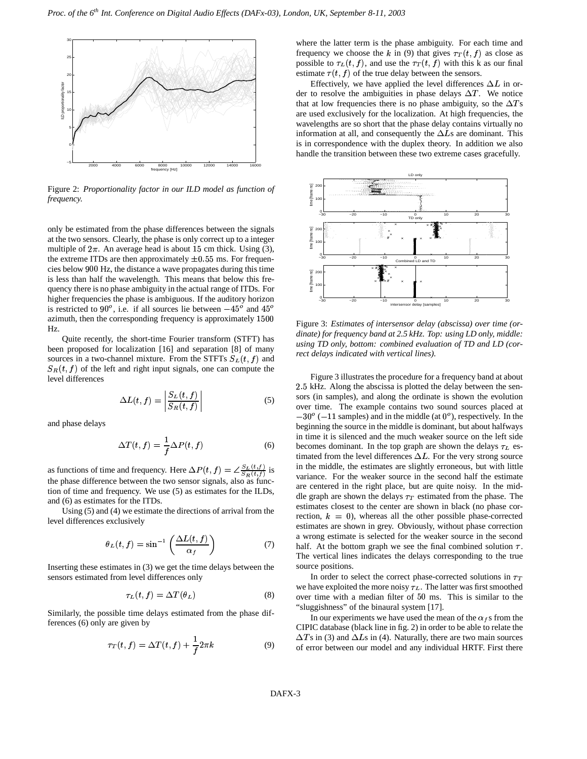

Figure 2: *Proportionality factor in our ILD model as function of frequency.*

only be estimated from the phase differences between the signals at the two sensors. Clearly, the phase is only correct up to a integer multiple of  $2\pi$ . An average head is about 15 cm thick. Using (3), the extreme ITDs are then approximately  $\pm 0.55$  ms. For frequencies below 900 Hz, the distance a wave propagates during this time is less than half the wavelength. This means that below this frequency there is no phase ambiguity in the actual range of ITDs. For higher frequencies the phase is ambiguous. If the auditory horizon is restricted to 90<sup>o</sup>, i.e. if all sources lie between  $-45^\circ$  and  $45^\circ$ azimuth, then the corresponding frequency is approximately 1500 Hz.

Quite recently, the short-time Fourier transform (STFT) has been proposed for localization [16] and separation [8] of many sources in a two-channel mixture. From the STFTs  $S_L(t, f)$  and  $S_R(t, f)$  of the left and right input signals, one can compute the level differences

$$
\Delta L(t, f) = \left| \frac{S_L(t, f)}{S_R(t, f)} \right| \tag{5}
$$

and phase delays

$$
\Delta T(t, f) = \frac{1}{f} \Delta P(t, f) \tag{6}
$$

as functions of time and frequency. Here  $\Delta P(t, f) = \angle \frac{S_L(t, f)}{S_R(t, f)}$  is the phase difference between the two sensor signals, also as function of time and frequency. We use (5) as estimates for the ILDs, and (6) as estimates for the ITDs.

Using (5) and (4) we estimate the directions of arrival from the level differences exclusively

$$
\theta_L(t,f) = \sin^{-1}\left(\frac{\Delta L(t,f)}{\alpha_f}\right) \tag{7}
$$

Inserting these estimates in (3) we get the time delays between the sensors estimated from level differences only

$$
\tau_L(t, f) = \Delta T(\theta_L) \tag{8}
$$

Similarly, the possible time delays estimated from the phase differences (6) only are given by

$$
\tau_T(t,f) = \Delta T(t,f) + \frac{1}{f} 2\pi k \tag{9}
$$

where the latter term is the phase ambiguity. For each time and frequency we choose the k in (9) that gives  $\tau_T(t,f)$  as close as possible to  $\tau_L(t, f)$ , and use the  $\tau_T(t, f)$  with this k as our final estimate  $\tau(t, f)$  of the true delay between the sensors.

Effectively, we have applied the level differences  $\Delta L$  in order to resolve the ambiguities in phase delays  $\Delta T$ . We notice that at low frequencies there is no phase ambiguity, so the  $\Delta T$ s are used exclusively for the localization. At high frequencies, the wavelengths are so short that the phase delay contains virtually no information at all, and consequently the  $\Delta L$ s are dominant. This is in correspondence with the duplex theory. In addition we also handle the transition between these two extreme cases gracefully.



Figure 3: *Estimates of intersensor delay (abscissa) over time (ordinate) for frequency band at 2.5 kHz. Top: using LD only, middle: using TD only, bottom: combined evaluation of TD and LD (correct delays indicated with vertical lines).*

Figure 3 illustrates the procedure for a frequency band at about 2.5 kHz. Along the abscissa is plotted the delay between the sensors (in samples), and along the ordinate is shown the evolution over time. The example contains two sound sources placed at  $-30^{\circ}$  ( $-11$  samples) and in the middle (at  $0^{\circ}$ ), respectively. In the beginning the source in the middle is dominant, but about halfways in time it is silenced and the much weaker source on the left side becomes dominant. In the top graph are shown the delays  $\tau_L$  estimated from the level differences  $\Delta L$ . For the very strong source in the middle, the estimates are slightly erroneous, but with little variance. For the weaker source in the second half the estimate are centered in the right place, but are quite noisy. In the middle graph are shown the delays  $\tau_T$  estimated from the phase. The estimates closest to the center are shown in black (no phase correction,  $k = 0$ ), whereas all the other possible phase-corrected estimates are shown in grey. Obviously, without phase correction a wrong estimate is selected for the weaker source in the second half. At the bottom graph we see the final combined solution  $\tau$ . The vertical lines indicates the delays corresponding to the true source positions.

In order to select the correct phase-corrected solutions in  $\tau_T$ we have exploited the more noisy  $\tau_L$ . The latter was first smoothed over time with a median filter of  $50$  ms. This is similar to the "sluggishness" of the binaural system [17].

In our experiments we have used the mean of the  $\alpha_f$  s from the CIPIC database (black line in fig. 2) in order to be able to relate the  $\Delta T$ s in (3) and  $\Delta L$ s in (4). Naturally, there are two main sources of error between our model and any individual HRTF. First there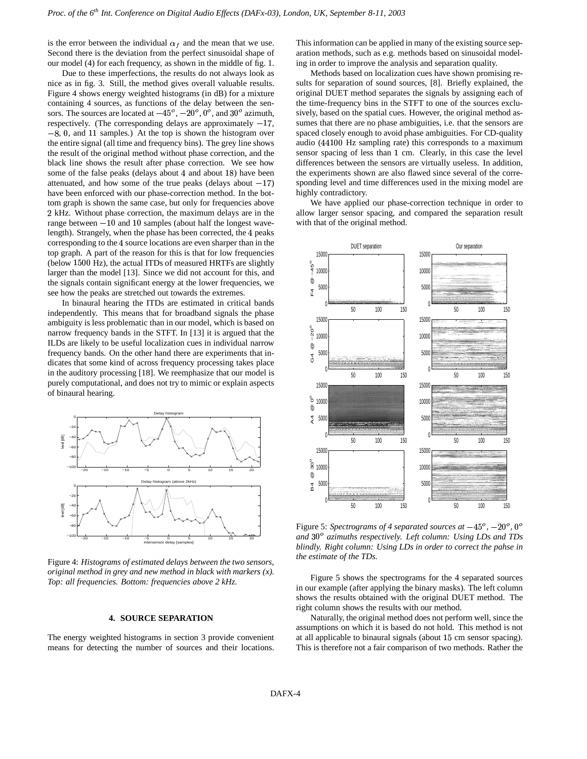is the error between the individual  $\alpha_f$  and the mean that we use. Second there is the deviation from the perfect sinusoidal shape of our model (4) for each frequency, as shown in the middle of fig. 1.

Due to these imperfections, the results do not always look as nice as in fig. 3. Still, the method gives overall valuable results. Figure 4 shows energy weighted histograms (in dB) for a mixture containing 4 sources, as functions of the delay between the sensors. The sources are located at  $-45^\circ$ ,  $-20^\circ$ ,  $0^\circ$ , and  $30^\circ$  azimuth, respectively. (The corresponding delays are approximately  $-17$ ,  $-8$ , 0, and 11 samples.) At the top is shown the histogram over the entire signal (all time and frequency bins). The grey line shows the result of the original method without phase correction, and the black line shows the result after phase correction. We see how some of the false peaks (delays about 4 and about 18) have been attenuated, and how some of the true peaks (delays about  $-17$ ) have been enforced with our phase-correction method. In the bottom graph is shown the same case, but only for frequencies above <sup>3</sup> kHz. Without phase correction, the maximum delays are in the range between  $-10$  and 10 samples (about half the longest wavelength). Strangely, when the phase has been corrected, the 4 peaks corresponding to the 4 source locations are even sharper than in the top graph. A part of the reason for this is that for low frequencies (below  $1500$  Hz), the actual ITDs of measured HRTFs are slightly larger than the model [13]. Since we did not account for this, and the signals contain significant energy at the lower frequencies, we see how the peaks are stretched out towards the extremes.

In binaural hearing the ITDs are estimated in critical bands independently. This means that for broadband signals the phase ambiguity is less problematic than in our model, which is based on narrow frequency bands in the STFT. In [13] it is argued that the ILDs are likely to be useful localization cues in individual narrow frequency bands. On the other hand there are experiments that indicates that some kind of across frequency processing takes place in the auditory processing [18]. We reemphasize that our model is purely computational, and does not try to mimic or explain aspects of binaural hearing.



Figure 4: *Histograms of estimated delays between the two sensors, original method in grey and new method in black with markers (x). Top: all frequencies. Bottom: frequencies above 2 kHz.*

## **4. SOURCE SEPARATION**

The energy weighted histograms in section 3 provide convenient means for detecting the number of sources and their locations.

This information can be applied in many of the existing source separation methods, such as e.g. methods based on sinusoidal modeling in order to improve the analysis and separation quality.

Methods based on localization cues have shown promising results for separation of sound sources, [8]. Briefly explained, the original DUET method separates the signals by assigning each of the time-frequency bins in the STFT to one of the sources exclusively, based on the spatial cues. However, the original method assumes that there are no phase ambiguities, i.e. that the sensors are spaced closely enough to avoid phase ambiguities. For CD-quality audio (44100 Hz sampling rate) this corresponds to a maximum sensor spacing of less than 1 cm. Clearly, in this case the level differences between the sensors are virtually useless. In addition, the experiments shown are also flawed since several of the corresponding level and time differences used in the mixing model are highly contradictory.

We have applied our phase-correction technique in order to allow larger sensor spacing, and compared the separation result with that of the original method.



Figure 5: *Spectrograms of 4 separated sources at*  $-45^{\circ}$ ,  $-20^{\circ}$ ,  $0^{\circ}$ *and* <sup>b</sup> \ *azimuths respectively. Left column: Using LDs and TDs blindly. Right column: Using LDs in order to correct the pahse in the estimate of the TDs.*

Figure 5 shows the spectrograms for the 4 separated sources in our example (after applying the binary masks). The left column shows the results obtained with the original DUET method. The right column shows the results with our method.

Naturally, the original method does not perform well, since the assumptions on which it is based do not hold. This method is not at all applicable to binaural signals (about 15 cm sensor spacing). This is therefore not a fair comparison of two methods. Rather the